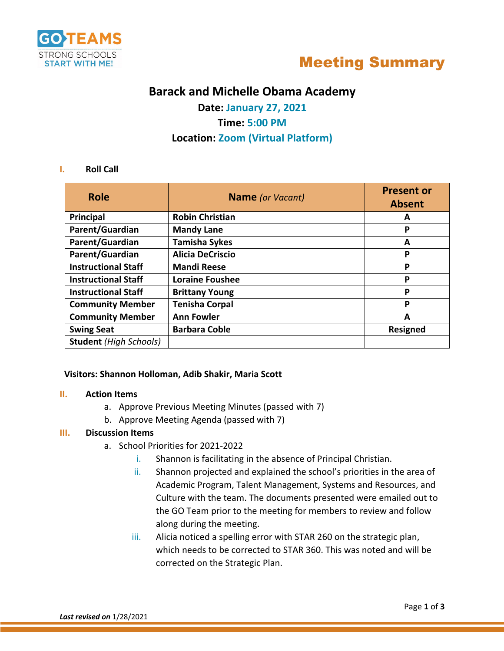



# **Barack and Michelle Obama Academy**

**Date: January 27, 2021 Time: 5:00 PM Location: Zoom (Virtual Platform)**

### **I. Roll Call**

| <b>Role</b>                   | <b>Name</b> (or Vacant) | <b>Present or</b><br><b>Absent</b> |
|-------------------------------|-------------------------|------------------------------------|
| Principal                     | <b>Robin Christian</b>  | A                                  |
| Parent/Guardian               | <b>Mandy Lane</b>       | P                                  |
| Parent/Guardian               | <b>Tamisha Sykes</b>    | A                                  |
| Parent/Guardian               | <b>Alicia DeCriscio</b> | P                                  |
| <b>Instructional Staff</b>    | <b>Mandi Reese</b>      | P                                  |
| <b>Instructional Staff</b>    | <b>Loraine Foushee</b>  | P                                  |
| <b>Instructional Staff</b>    | <b>Brittany Young</b>   | P                                  |
| <b>Community Member</b>       | <b>Tenisha Corpal</b>   | P                                  |
| <b>Community Member</b>       | <b>Ann Fowler</b>       | A                                  |
| <b>Swing Seat</b>             | <b>Barbara Coble</b>    | Resigned                           |
| <b>Student</b> (High Schools) |                         |                                    |

### **Visitors: Shannon Holloman, Adib Shakir, Maria Scott**

### **II. Action Items**

- a. Approve Previous Meeting Minutes (passed with 7)
- b. Approve Meeting Agenda (passed with 7)

# **III. Discussion Items**

- a. School Priorities for 2021-2022
	- i. Shannon is facilitating in the absence of Principal Christian.
	- ii. Shannon projected and explained the school's priorities in the area of Academic Program, Talent Management, Systems and Resources, and Culture with the team. The documents presented were emailed out to the GO Team prior to the meeting for members to review and follow along during the meeting.
	- iii. Alicia noticed a spelling error with STAR 260 on the strategic plan, which needs to be corrected to STAR 360. This was noted and will be corrected on the Strategic Plan.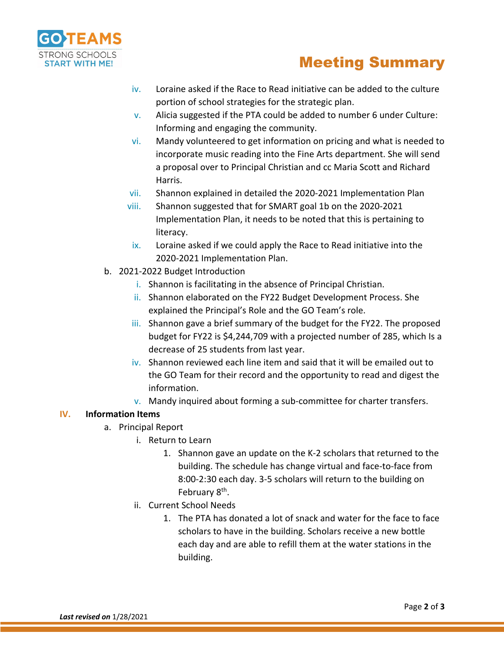

# Meeting Summary

- iv. Loraine asked if the Race to Read initiative can be added to the culture portion of school strategies for the strategic plan.
- $\mathbf{v}$ . Alicia suggested if the PTA could be added to number 6 under Culture: Informing and engaging the community.
- vi. Mandy volunteered to get information on pricing and what is needed to incorporate music reading into the Fine Arts department. She will send a proposal over to Principal Christian and cc Maria Scott and Richard Harris.
- vii. Shannon explained in detailed the 2020-2021 Implementation Plan
- viii. Shannon suggested that for SMART goal 1b on the 2020-2021 Implementation Plan, it needs to be noted that this is pertaining to literacy.
- ix. Loraine asked if we could apply the Race to Read initiative into the 2020-2021 Implementation Plan.
- b. 2021-2022 Budget Introduction
	- i. Shannon is facilitating in the absence of Principal Christian.
	- ii. Shannon elaborated on the FY22 Budget Development Process. She explained the Principal's Role and the GO Team's role.
	- iii. Shannon gave a brief summary of the budget for the FY22. The proposed budget for FY22 is \$4,244,709 with a projected number of 285, which Is a decrease of 25 students from last year.
	- iv. Shannon reviewed each line item and said that it will be emailed out to the GO Team for their record and the opportunity to read and digest the information.
	- v. Mandy inquired about forming a sub-committee for charter transfers.

## **IV. Information Items**

- a. Principal Report
	- i. Return to Learn
		- 1. Shannon gave an update on the K-2 scholars that returned to the building. The schedule has change virtual and face-to-face from 8:00-2:30 each day. 3-5 scholars will return to the building on February 8<sup>th</sup>.
	- ii. Current School Needs
		- 1. The PTA has donated a lot of snack and water for the face to face scholars to have in the building. Scholars receive a new bottle each day and are able to refill them at the water stations in the building.